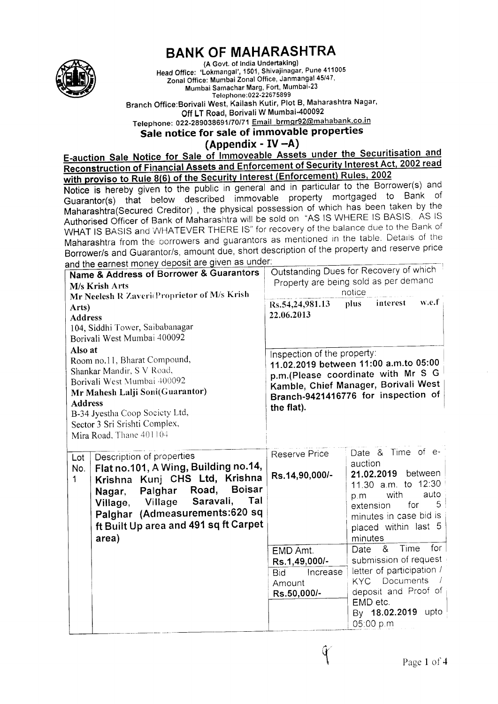

## **BANK OF MAHARASHTRA**

(A Govt. of India Undertaking) Head Office: 'Lokmangal', 1501, Shivajinagar, Pune 411005 Zonal Otfice: Munrbai Zonal Office, Janmangal 45/47' Mumbai Sarnachar Marg, Fort, Mumbai-23 Telephone: 022-22675899

Branch Office:Borivali West, Kailash Kutir, Plot B, Maharashtra Nagar' Off LT Road, Borivali W Mumbai-400092 Telephone: 022-289038691/70/71 Email brmgr92@mahabank.co.in

Sale notice for sale of immovable properties

 $(Appendix - IV - A)$ 

Appendix - 1v -A)<br>E-auction Sale Notice for Sale of Immoveable Assets under the Securitisation and Reconstruction of Financial Assets and Enforcement of Security Interest Act, 2002 read with proviso to Rule 8(6) of the Security Interest (Enforcement) Rules, 2002

Notice is hereby given to the public in general and in particular to the Borrower(s) and Guarantor(s) that below described immovable property mortgaged to Bank of Guaranion(s) that below december miniteration of which has been taken by the<br>Maharashtra(Secured Creditor), the physical possession of which has been taken by the Authorised Officer of Bank of Maharashtra will be sold on "AS IS WHERE IS BASIS, AS IS WHAT IS BASIS and WHATEVER THERE IS" for recovery of the balance due to the Bank of Maharashtra from the borrowers and guarantors as mentioned in the table. Details of the Borrower/s and Guarantor/s, amount due, short description of the property and reserve price<br>and the earnest money deposit are given as under:

| and the earnest money deposit are given as an<br>Name & Address of Borrower & Guarantors<br>M/s Krish Arts<br>Mr Neelesh R Zaveri(Proprietor of M/s Krish<br>Arts)<br><b>Address</b><br>104, Siddhi Tower, Saibabanagar<br>Borivali West Mumbai 400092                                           | Rs.54,24,981.13<br>22.06.2013                                                                                                                                                                           | Outstanding Dues for Recovery of which<br>Property are being sold as per demand<br>notice<br>w.e.f<br>interest<br>plus.                                                                    |
|--------------------------------------------------------------------------------------------------------------------------------------------------------------------------------------------------------------------------------------------------------------------------------------------------|---------------------------------------------------------------------------------------------------------------------------------------------------------------------------------------------------------|--------------------------------------------------------------------------------------------------------------------------------------------------------------------------------------------|
| Also at<br>Room no.11, Bharat Compound,<br>Shankar Mandir, S V Road,<br>Borivali West Mumbai 400092<br>Mr Mahesh Lalji Soni(Guarantor)<br><b>Address</b><br>B-34 Jyestha Coop Society Ltd,<br>Sector 3 Sri Srishti Complex,<br>Mira Road, Thane 401104                                           | Inspection of the property:<br>11.02.2019 between 11:00 a.m.to 05:00<br>p.m.(Please coordinate with Mr S G<br>Kamble, Chief Manager, Borivali West<br>Branch-9421416776 for inspection of<br>the flat). |                                                                                                                                                                                            |
| Description of properties<br>Lot<br>Flat no.101, A Wing, Building no.14,<br>No.<br>Krishna Kunj CHS Ltd, Krishna<br>1<br><b>Boisar</b><br>Palghar Road,<br>Nagar,<br>Saravali,<br>Tal<br>Village<br>Village,<br>Palghar (Admeasurements:620 sq<br>ft Built Up area and 491 sq ft Carpet<br>area) | <b>Reserve Price</b><br>Rs.14,90,000/-                                                                                                                                                                  | Date & Time of e-<br>auction<br>21.02.2019 between<br>11.30 a.m. to 12:30<br>auto<br>with<br>p.m<br>$5 -$<br>for<br>extension<br>minutes in case bid is<br>placed within last 5<br>minutes |
|                                                                                                                                                                                                                                                                                                  | EMD Amt.<br>Rs.1,49,000/-<br>Increase<br><b>Bid</b><br>Amount<br>Rs.50,000/-                                                                                                                            | for<br>Time<br>&<br>Date<br>submission of request<br>letter of participation /<br><b>KYC</b> Documents<br>deposit and Proof of<br>EMD etc.<br>By 18.02.2019 upto<br>05:00 p.m              |

{.{ !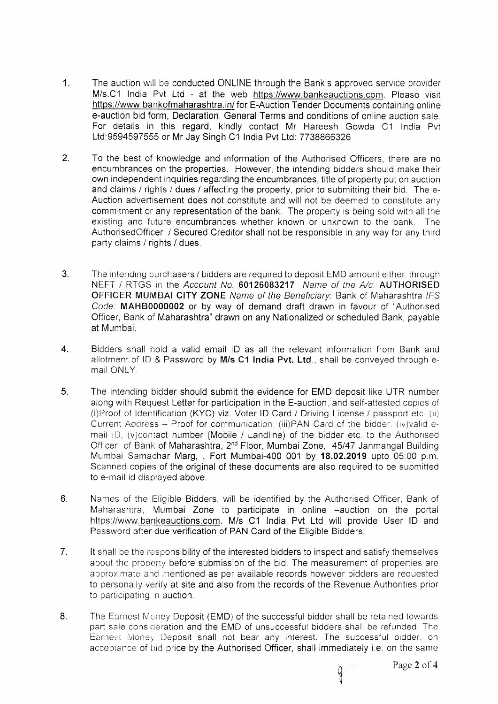- 1. The auction will be conducted ONLINE through the Bank's approved service provider M/s.C1 India Pvt Ltd - at the web https://www.bankeauctions.com. Please visit https.//www.bankofmaharashtra.in/ for E-Auction Tender Documents containing online e-auction bid form, Declaration, General Terms and conditions of online auction sale For details in this regard, kindly contact Mr Hareesh Gowda C1 India Pvt Ltd:9594597555 or Mr Jay Singh C1 India Pvt Ltd: 7738866326
- 2. To the best of knowledge and information of the Authorised Officers, there are no encumbrances on the properties. However, the intending bidders should make their own independent inquiries regarding the encumbrances, title of property put on auction and claims / rights / dues / affecting the property, prior to submitting their bid. The e-Auction advertisement does not constitute and will not be deemed to constitute any commitment or any representation of the bank. The property is being sold with all the existing and future encumbrances whether known or unknown to the bank. The AuthorisedOfficer / Secured Creditor shall not be responsible in any way for any third party claims / rights / dues.
- J. The intending purchasers / bidders are required to deposit EMD amount either through NEFT / RTGS in the Account No. 60126083217 Name of the A/c: AUTHORISED OFFICER MUMBAI CITY ZONE Name of the Beneficiary: Bank of Maharashtra IFS Code: MAHB0000002 or by way of demand draft drawn in favour of "Authorised Officer, Bank of Maharashtra" drawn on any Nationalized or scheduled Bank, payable at Mumbai.
- 4. Bidders shall hold a valid email ID as all the relevant information from Bank and allotment of ID & Password by M/s C1 India Pvt. Ltd., shall be conveyed through email ONLY
- 5. The intending bidder should submit the evidence for EMD deposit like UTR number along with Request Letter for participation in the E-auction, and self-attested copies of (i)Proof of Identification (KYC) viz. Voter ID Card / Driving License / passport etc. (ii) Current Address - Proof for communication. (iii)PAN Card of the bidder. (iv)valid email  $|D|$ , (v)contact number (Mobile / Landline) of the bidder etc. to the Authorised Officer of Bank of Maharashtra, 2<sup>nd</sup> Floor, Mumbai Zone, 45/47 Janmangal Building Mumbai Samachar Marg,, Fort Mumbai-400 001 by 18.02.2019 upto 05:00 p.m. Scanned copies of the original of these documents are also required to be submitted to e-mail id displayed above.
- 6. Names of the Eligible Bidders, will be identified by the Authorised Officer, Bank of Maharashtra, Mumbai Zone to participate in online -auction on the portal https://www.bankeauctions.com. M/s C1 India Pvt Ltd will provide User lD and Password after due verification of PAN Card of the Eligible Bidders.
- 7. It shall be the responsibility of the interested bidders to inspect and satisfy themselves about the property before submission of the bid. The measurement of properties are approximate and mentioned as per available records however bidders are requested to personally verify at site and also from the records of the Revenue Authorities prior to participating n auction.
- 8. The Earnest Money Deposit (EMD) of the successful bidder shall be retained towards part sale consideration and the EMD of unsuccessful bidders shall be refunded. The Earnest Money Deposit shall not bear any interest. The successful bidder, on acceptance of bid price by the Authorised Officer, shall immediately i.e. on the same

Y' {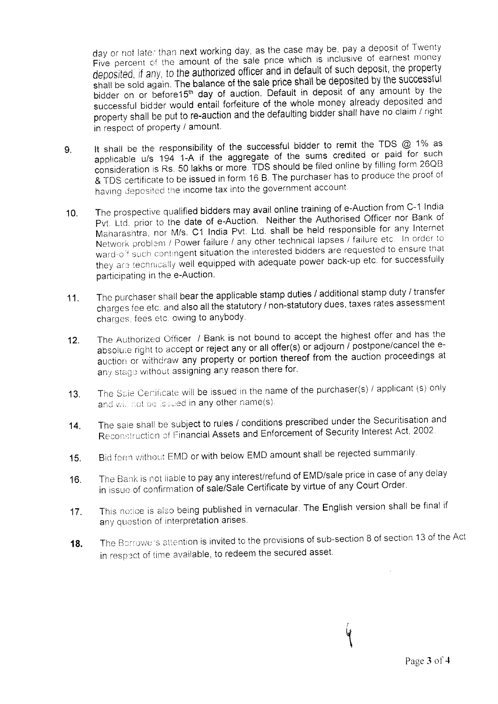day or not later than next working day, as the case may be, pay a deposit of Twenty Five percent of the amount of the sale price which is inclusive of earnest money deposited, if any, to the authorized officer and in default of such deposit, the property shall be sold again. The balance of the sale price shall be deposited by the successful bidder on or before15<sup>th</sup> day of auction. Default in deposit of any amount by the successful bidder would entail forfeiture of the whole money already deposited and property shall be put to re-auction and the defaulting bidder shall have no claim / right in respect of property / amount.

- 9. It shall be the responsibility of the successful bidder to remit the TDS  $@$  1% as applicable u/s 194 1-A if the aggregate of the sums credited or paid for such consideration is Rs. 50 lakhs or more. TDS should be filed online by filling form 26QB & TDS certifrcate to be issued in form 16 B. The purchaser has to produce the proof of having deposited the income tax into the government account.
- 10. The prospective qualified bidders may avail online training of e-Auction from C-1 India Pvt. Ltd. prior to the date of e-Auction. Neither the Authorised Officer nor Bank of Maharashtra, nor M/s. C1 India Pvt. Ltd. shall be held responsible for any Internet Network problem / Power failure / any other technical lapses / failure etc. In order to ward-off such contingent situation the interested bidders are requested to ensure that they are technically well equipped with adequate power back-up etc. for successfully participating in the e-Auction.
- The purchaser shall bear the applicable stamp duties / additional stamp duty / transfer charges fee etc. and also all the statutory / non-statutory dues, taxes rates assessment charges, fees etc. owing to anybody. 11.
- The Authorized Officer / Bank is not bound to accept the highest offer and has the absolute right to accept or reject any or all offer(s) or adjourn  $\tilde{I}$  postpone/cancel the eauction or withdraw any property or portion thereof from the auction proceedings at any stage without assigning any reason there for. 12.
- The Sale Certificate will be issued in the name of the purchaser(s) / applicant (s) only and will not be issued in any other name(s). 13.
- The sale shall be subject to rules / conditions prescribed under the Securitisation and Reconstruction of Financial Assets and Enforcement of Security Interest Act, 2002. 14.
- Bid form without EMD or with below EMD amount shall be rejected summarily. 15.
- The Bank is not liable to pay any interest/refund of EMD/sale price in case of any delay in issue of confirmation of sale/Sale Certificate by virtue of any Court Order. 16.
- This notice is also being published in vernacular. The English version shall be final if any question of interpretation arises. 17.
- The Borrowers attention is invited to the provisions of sub-section 8 of section 13 of the Act in respect of time available, to redeem the secured asset. 18.

V  $\mathbf \iota$